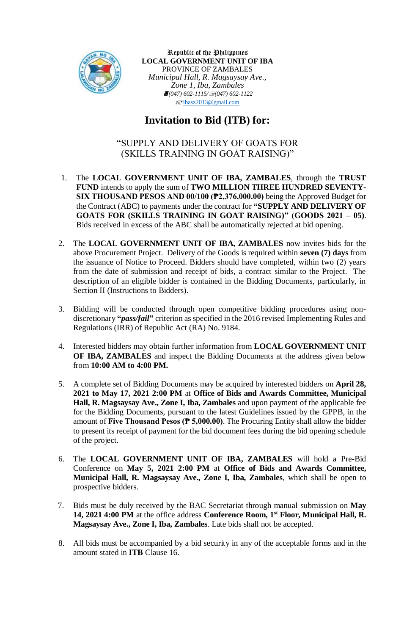

Republic of the Philippines **LOCAL GOVERNMENT UNIT OF IBA** PROVINCE OF ZAMBALES *Municipal Hall, R. Magsaysay Ave., Zone 1, Iba, Zambales (047) 602-1115/(047) 602-1122*  $\sqrt{\frac{1}{2}}$ [ibasz2013@gmail.com](mailto:ibasz2013@gmail.com)

## **Invitation to Bid (ITB) for:**

## "SUPPLY AND DELIVERY OF GOATS FOR (SKILLS TRAINING IN GOAT RAISING)"

- 1. The **LOCAL GOVERNMENT UNIT OF IBA, ZAMBALES**, through the **TRUST FUND** intends to apply the sum of **TWO MILLION THREE HUNDRED SEVENTY-SIX THOUSAND PESOS AND 00/100 (₱2,376,000.00)** being the Approved Budget for the Contract (ABC) to payments under the contract for **"SUPPLY AND DELIVERY OF GOATS FOR (SKILLS TRAINING IN GOAT RAISING)" (GOODS 2021 – 05)**. Bids received in excess of the ABC shall be automatically rejected at bid opening.
- 2. The **LOCAL GOVERNMENT UNIT OF IBA, ZAMBALES** now invites bids for the above Procurement Project. Delivery of the Goods is required within **seven (7) days** from the issuance of Notice to Proceed. Bidders should have completed, within two (2) years from the date of submission and receipt of bids, a contract similar to the Project. The description of an eligible bidder is contained in the Bidding Documents, particularly, in Section II (Instructions to Bidders).
- 3. Bidding will be conducted through open competitive bidding procedures using nondiscretionary **"***pass/fail***"** criterion as specified in the 2016 revised Implementing Rules and Regulations (IRR) of Republic Act (RA) No. 9184.
- 4. Interested bidders may obtain further information from **LOCAL GOVERNMENT UNIT OF IBA, ZAMBALES** and inspect the Bidding Documents at the address given below from **10:00 AM to 4:00 PM.**
- 5. A complete set of Bidding Documents may be acquired by interested bidders on **April 28, 2021 to May 17, 2021 2:00 PM** at **Office of Bids and Awards Committee, Municipal Hall, R. Magsaysay Ave., Zone I, Iba, Zambales** and upon payment of the applicable fee for the Bidding Documents, pursuant to the latest Guidelines issued by the GPPB, in the amount of **Five Thousand Pesos (₱ 5,000.00)**. The Procuring Entity shall allow the bidder to present its receipt of payment for the bid document fees during the bid opening schedule of the project.
- 6. The **LOCAL GOVERNMENT UNIT OF IBA, ZAMBALES** will hold a Pre-Bid Conference on **May 5, 2021 2:00 PM** at **Office of Bids and Awards Committee, Municipal Hall, R. Magsaysay Ave., Zone I, Iba, Zambales***,* which shall be open to prospective bidders.
- 7. Bids must be duly received by the BAC Secretariat through manual submission on **May 14, 2021 4:00 PM** at the office address **Conference Room, 1st Floor, Municipal Hall, R. Magsaysay Ave., Zone I, Iba, Zambales***.* Late bids shall not be accepted.
- 8. All bids must be accompanied by a bid security in any of the acceptable forms and in the amount stated in **ITB** Clause 16.